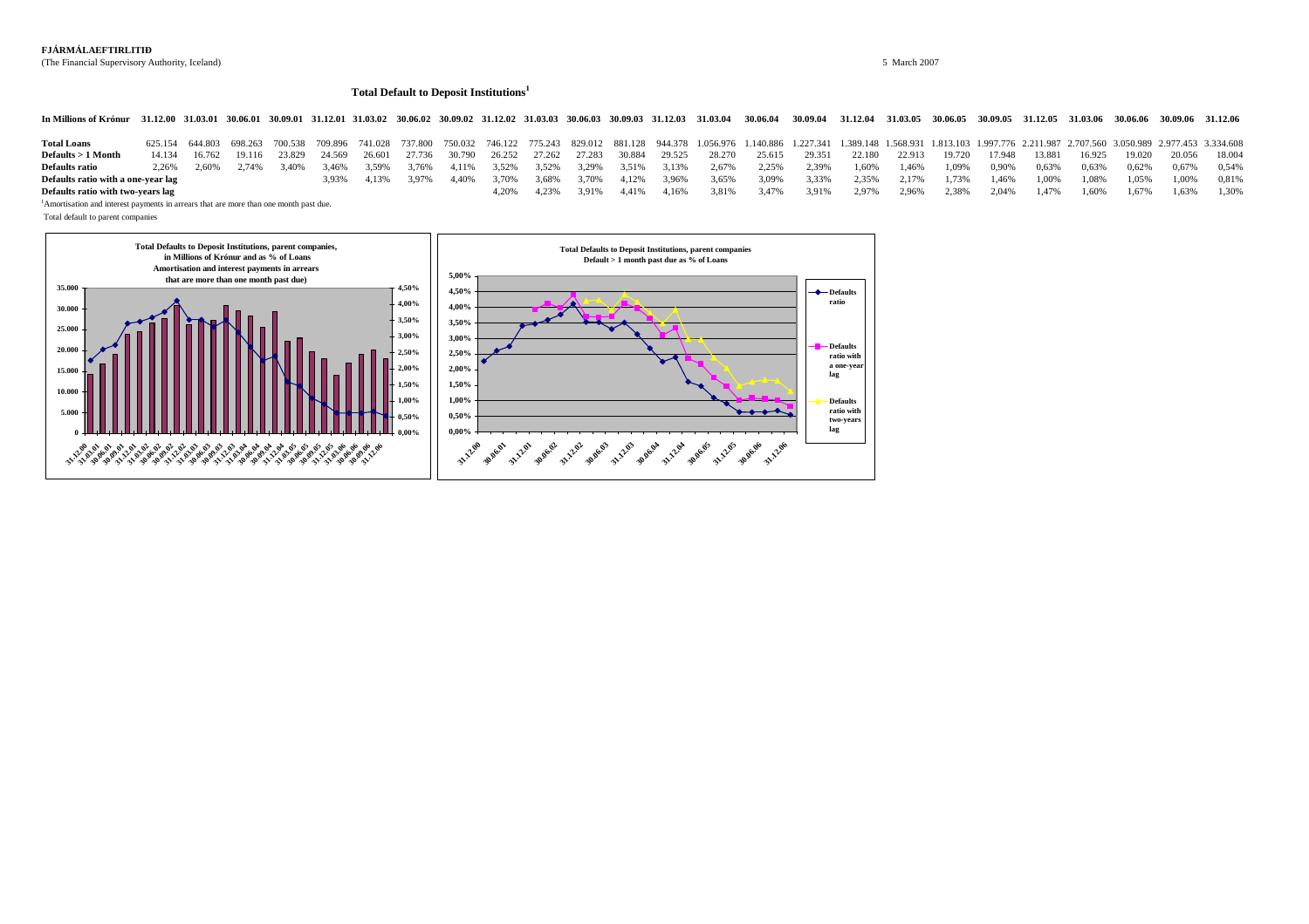# **FJÁRMÁLAEFTIRLITIÐ**

(The Financial Supervisory Authority, Iceland) 5 March 2007

### **Total Default to Deposit Institutions<sup>1</sup>**

In Millions of Krónur 31.12.00 31.03.01 30.06.01 30.09.01 31.12.01 31.03.02 30.06.02 30.09.02 31.12.02 31.03.03 30.06.03 30.09.03 31.12.03 31.03.04 30.06.04 30.09.04 31.12.04 31.03.05 30.06.05 30.09.05 31.12.05 31.03.06 30

| <b>Total Loans</b>                 |       |               |       |                      |                |         |                      |       |       |                   |       |       |       |                                           | 625.154 644.803 698.263 700.538 709.896 741.028 737.800 750.032 746.122 775.243 829.012 881.128 944.378 1.056.976 1.140.886 1.227.341 1.389.148 1.568.931 1.813.103 1.997.776 2.211.987 2.707.560 3.050.989 2.977.453 3.334.608 |       |       |               |        |       |               |       |               |        |        |
|------------------------------------|-------|---------------|-------|----------------------|----------------|---------|----------------------|-------|-------|-------------------|-------|-------|-------|-------------------------------------------|---------------------------------------------------------------------------------------------------------------------------------------------------------------------------------------------------------------------------------|-------|-------|---------------|--------|-------|---------------|-------|---------------|--------|--------|
| $Defaults > 1$ Month               |       | 14.134 16.762 |       | 19.116 23.829 24.569 |                |         | 26.601 27.736 30.790 |       |       |                   |       |       |       | 26.252 27.262 27.283 30.884 29.525 28.270 | 25.615 29.351                                                                                                                                                                                                                   |       |       | 22.180 22.913 | 19.720 |       | 17.948 13.881 |       | 16.925 19.020 | 20.056 | 18.004 |
| <b>Defaults ratio</b>              | 2.26% | 2.60%         | 2.74% | 3.40%                | $3.46\%$ 3.59% |         | 3.76%                | 4.11% |       | 3.52% 3.52% 3.29% |       |       |       | 3.51% 3.13% 2.67%                         | 2.25% 2.39%                                                                                                                                                                                                                     |       | 1.60% | 1.46%         | 1.09%  | 0.90% | 0.63%         | 0.63% | 0.62%         | 0.67%  | 0.54%  |
| Defaults ratio with a one-year lag |       |               |       |                      | 3.93%          | 4 1 3 % | 3.97%                | 4.40% | 3.70% | 3.68%             | 3.70% | 4.12% | 3.96% | 3.65%                                     | 3.09%                                                                                                                                                                                                                           | 3.33% | 2.35% | 2.17%         | 1.73%  | 1.46% | 1.00%         | 1.08% | 1.05%         | 1.00%  | 0.81%  |
| Defaults ratio with two-years lag  |       |               |       |                      |                |         |                      |       | 1 20% | 4.23%             | 3.91% | 4.41% | 4.16% | 3.81%                                     | 3.47%                                                                                                                                                                                                                           | 3.91% | 2,97% | 2,96%         | 2.38%  |       | 2,04% 1,47%   | 1.60% | 1.67%         | 1.63%  | 1.30%  |

<sup>1</sup>Amortisation and interest payments in arrears that are more than one month past due.

Total default to parent companies

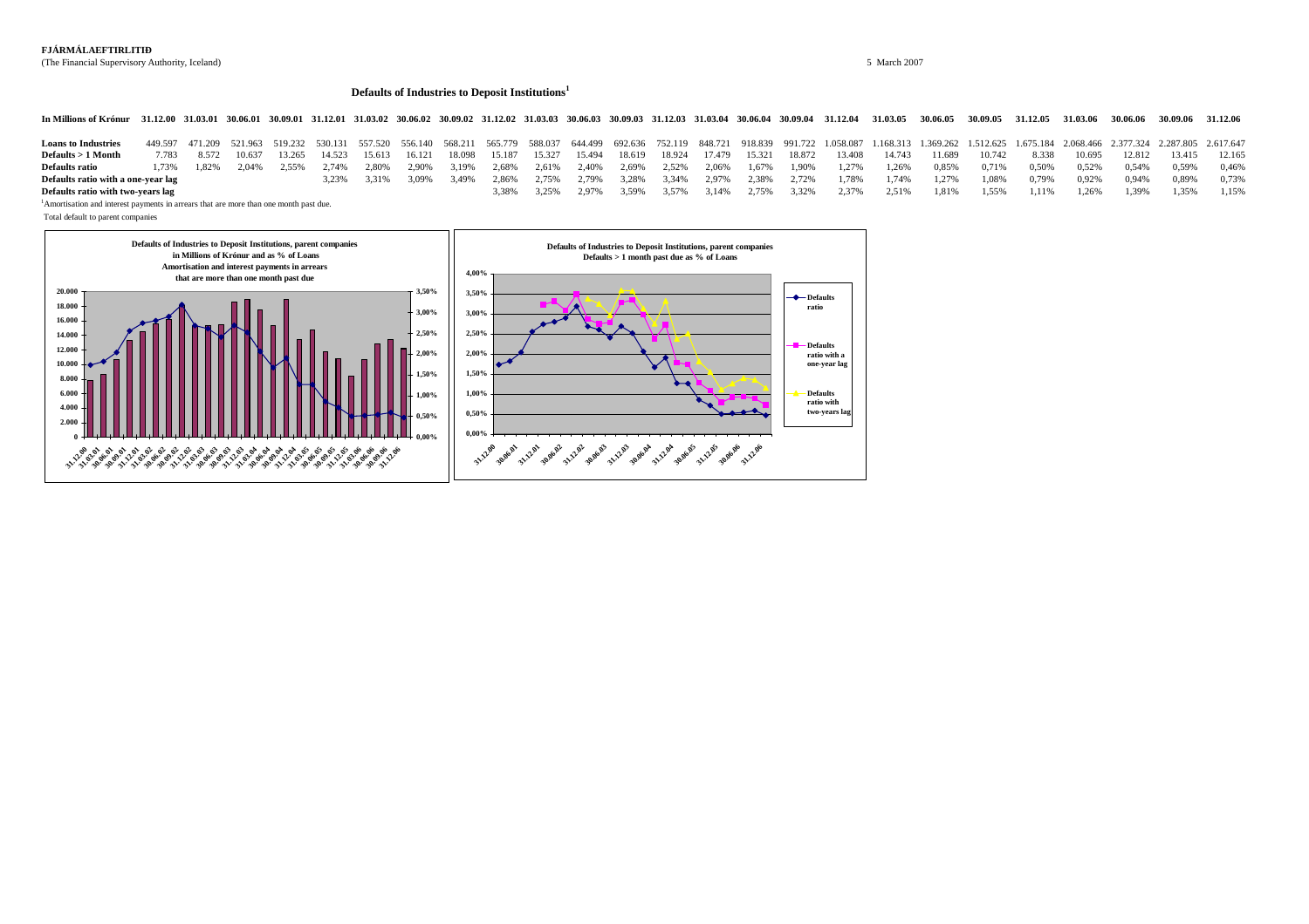# **FJÁRMÁLAEFTIRLITIÐ**

(The Financial Supervisory Authority, Iceland) 5 March 2007

#### **Defaults of Industries to Deposit Institutions<sup>1</sup>**

In Millions of Krónur 31.12.00 31.03.01 30.06.01 30.09.01 31.12.01 31.03.02 30.06.02 30.09.02 31.12.02 31.03.03 30.06.03 30.09.03 31.12.03 31.03.04 30.09.04 31.03.04 30.09.04 31.12.04 31.03.05 30.06.05 30.09.05 31.12.05 31

| <b>Loans to Industries</b>         |       |       |        |       |               |       |                      |       |       |                               |       |       |             |                      |       |       |       |                                    |       | 449.597 471.209 521.963 519.232 530.131 557.520 556.140 568.211 565.779 588.037 644.499 692.636 752.119 848.721 918.839 991.722 1.058.087 1.168.313 1.369.262 1.512.625 1.675.184 2.068.466 2.377.324 2.287.805 2.617.647 |       |        |        |        |        |
|------------------------------------|-------|-------|--------|-------|---------------|-------|----------------------|-------|-------|-------------------------------|-------|-------|-------------|----------------------|-------|-------|-------|------------------------------------|-------|---------------------------------------------------------------------------------------------------------------------------------------------------------------------------------------------------------------------------|-------|--------|--------|--------|--------|
| $Defaults > 1$ Month               | 7783  | 8.572 | 10.637 |       | 13.265 14.523 |       | 15.613 16.121 18.098 |       |       | 15.187  15.327  15.494        |       |       |             | 18.619 18.924 17.479 |       |       |       | 15.321 18.872 13.408 14.743 11.689 |       | 10.742                                                                                                                                                                                                                    | 8.338 | 10.695 | 12.812 | 13.415 | 12.165 |
| <b>Defaults ratio</b>              | 1.73% | 1.82% | 2.04%  | 2.55% | 2.74%         | 2.80% | 2.90%                | 3.19% |       | 2,68% 2,61% 2,40% 2,69% 2,52% |       |       |             | 2.06%                | 1.67% | 1.90% | 1.27% | 1.26%                              | 0.85% | 0.71%                                                                                                                                                                                                                     | 0.50% | 0.52%  | 0.54%  | 0.59%  | 0.46%  |
| Defaults ratio with a one-year lag |       |       |        |       | 3.23%         | 3.31% | 3.09%                | 3.49% | 2.86% | 2.75%                         | 2.79% |       | 3.28% 3.34% | 2.97% 2.38% 2.72%    |       |       | 1.78% | 1.74%                              | 1.27% | 1.08%                                                                                                                                                                                                                     | 0.79% | 0.92%  | 0.94%  | 0.89%  | 0.73%  |
| Defaults ratio with two-years lag  |       |       |        |       |               |       |                      |       | 3.38% | 3.25%                         | 2.97% | 3.59% | 3.57%       | 3.14%                | 2.75% | 3.32% | 2.37% | 2.51%                              | 1.81% | 1.55%                                                                                                                                                                                                                     | 1.11% | .26%   | 1,39%  | 1.35%  | 1.15%  |

<sup>1</sup>Amortisation and interest payments in arrears that are more than one month past due.

Total default to parent companies

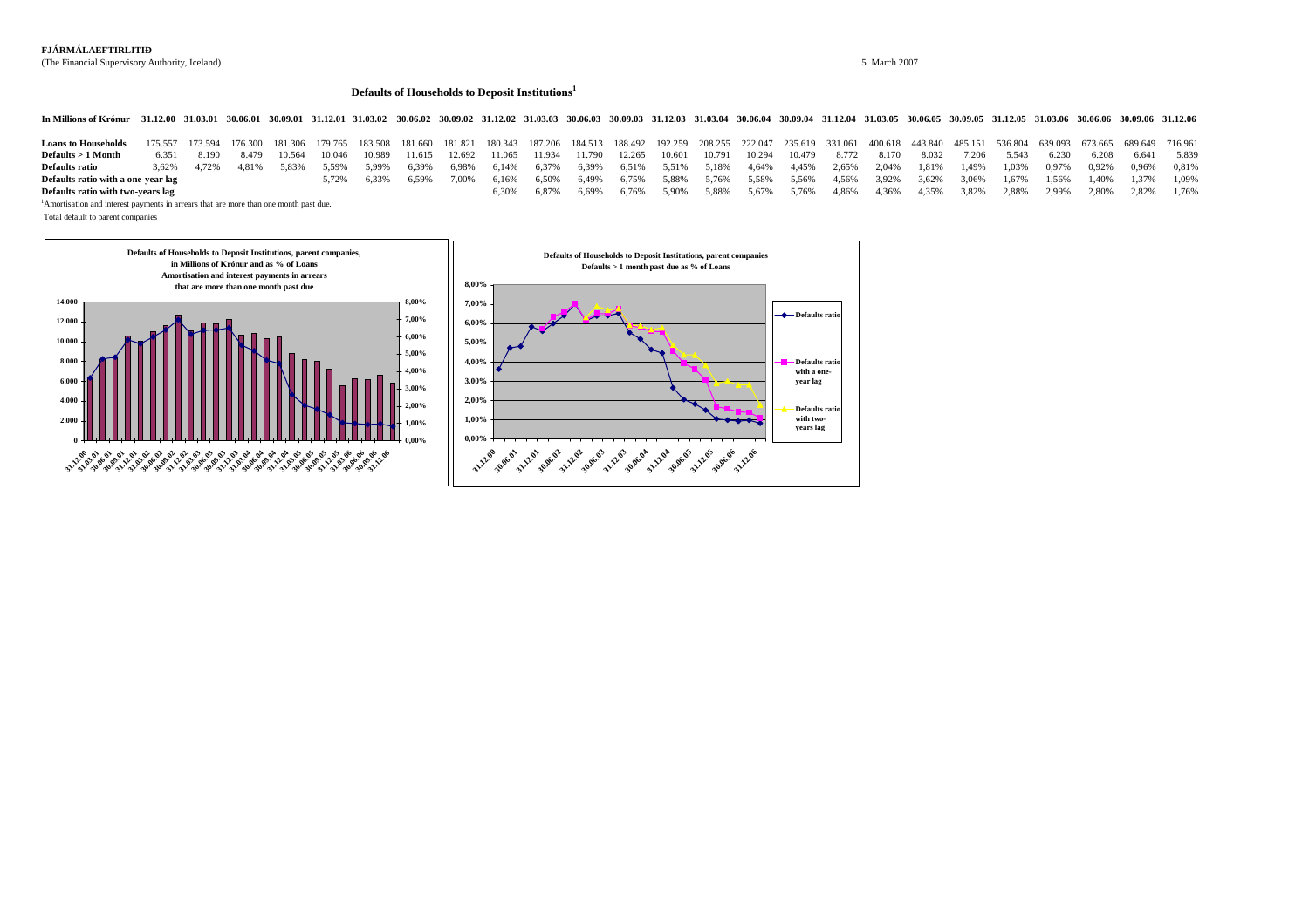# **FJÁRMÁLAEFTIRLITIÐ**

(The Financial Supervisory Authority, Iceland) 5 March 2007

# **Defaults of Households to Deposit Institutions<sup>1</sup>**

In Millions of Krónur 31.12.00 31.03.01 30.06.01 30.09.01 31.12.01 31.03.02 30.06.02 30.09.02 31.12.02 31.03.03 30.06.03 30.09.03 31.12.03 31.03.04 30.06.04 30.09.04 31.12.04 31.03.05 30.09.05 31.02.05 31.02.06 30.06.06 30

| <b>Loans to Households</b>         |      |             |              |             |       |       |       |       |       |       |       |  |                   | 175.557 173.594 176.300 181.306 179.765 183.508 181.660 181.821 180.343 187.206 184.513 188.492 192.259 208.255 222.047 235.619 331.061 400.618 443.840 485.151 536.804 639.093 673.665 689.649 716.961 |  |  |                         |          |                         |  |
|------------------------------------|------|-------------|--------------|-------------|-------|-------|-------|-------|-------|-------|-------|--|-------------------|---------------------------------------------------------------------------------------------------------------------------------------------------------------------------------------------------------|--|--|-------------------------|----------|-------------------------|--|
| $\bf{Defaults} > 1$ Month          | 6351 | 8.190       | 8.479 10.564 | 10.046      |       |       |       |       |       |       |       |  |                   | 10.989 11.615 12.692 11.065 11.934 11.790 12.265 10.601 10.791 10.294 10.479 8.772 8.170 8.032 7.206 5.543                                                                                              |  |  |                         | $-6.230$ | 6.208 6.641 5.839       |  |
| Defaults ratio                     |      | 3.62% 4.72% | 4.81% 5.83%  | 5.59% 5.99% |       | 6.39% |       |       |       |       |       |  |                   | $6.98\%$ $6.14\%$ $6.37\%$ $6.39\%$ $6.51\%$ $5.51\%$ $5.18\%$ $4.64\%$ $4.45\%$ $2.65\%$ $2.04\%$ $1.81\%$ $1.49\%$ $1.49\%$ $1.03\%$ $0.97\%$ $0.92\%$ $0.96\%$ $0.81\%$                              |  |  |                         |          |                         |  |
| Defaults ratio with a one-year lag |      |             |              | 5.72%       | 6.33% | 6.59% | 7.00% | 6.16% |       |       |       |  |                   | $6,50\%$ $6,49\%$ $6,75\%$ $5,88\%$ $5,76\%$ $5,58\%$ $5,56\%$ $4,56\%$ $3,92\%$ $3,62\%$ $3,06\%$ $1,67\%$ $1,67\%$ $1,60\%$ $1,40\%$ $1,37\%$ $1,09\%$                                                |  |  |                         |          |                         |  |
| Defaults ratio with two-years lag  |      |             |              |             |       |       |       |       | 6.87% | 6.69% | 6.76% |  | 5.90% 5.88% 5.67% | 5.76% 4.86%                                                                                                                                                                                             |  |  | 4,36% 4,35% 3,82% 2,88% |          | 2.99% 2.80% 2.82% 1.76% |  |

<sup>1</sup>Amortisation and interest payments in arrears that are more than one month past due.

Total default to parent companies

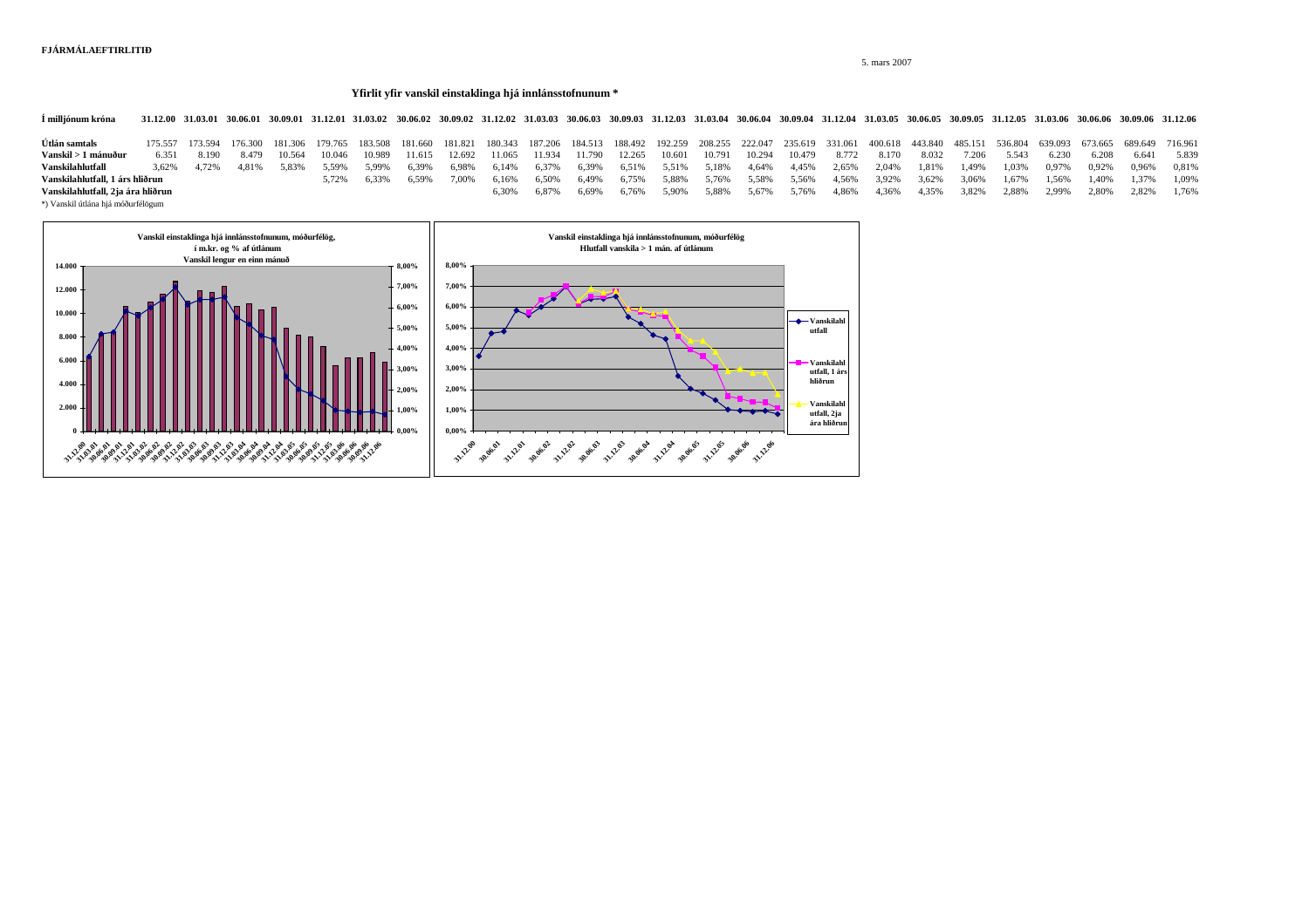5. mars 2007

#### **Yfirlit yfir vanskil einstaklinga hjá innlánsstofnunum \***

1 milljónum króna 31.12.00 31.03.01 30.06.01 30.09.01 31.12.01 31.03.02 30.06.02 30.09.02 31.12.02 31.03.03 30.06.03 30.09.03 31.12.03 31.03.04 30.06.04 30.09.04 31.12.04 31.03.05 30.06.05 30.09.05 31.12.05 31.03.06 30.06.

116.557 173.594 176.300 181.306 179.765 183.508 181.660 181.821 180.343 187.206 184.513 188.492 192.259 208.255 222.047 235.619 331.061 400.618 443.840 485.151 536.804 639.093 673.665 689.649 716.961 كميس المستمر المستمر **Vanskil > 1 mánuður** 6.351 8.190 8.479 10.564 10.046 10.989 11.615 12.692 11.065 11.934 11.790 12.265 10.601 10.791 10.294 10.479 8.772 8.170 8.032 7.206 5.543 6.230 6.208 6.641 5.839 **Vanskilahlutfall** 3,62% 4,72% 4,81% 5,83% 5,59% 5,99% 6,39% 6,98% 6,14% 6,37% 6,39% 6,51% 5,51% 5,18% 4,64% 4,45% 2,65% 2,04% 1,81% 1,49% 1,03% 0,97% 0,92% 0,96% 0,81% **Vanskilahlutfall, 1 árs hliðrun** 5,72% 6,33% 6,59% 7,00% 6,16% 6,50% 6,49% 6,75% 5,88% 5,76% 5,58% 5,56% 4,56% 3,92% 3,62% 3,06% 1,67% 1,56% 1,40% 1,37% 1,09% **Vanskilahlutfall, 2ja ára hliðrun** 6,30% 6,87% 6,69% 6,76% 5,90% 5,88% 5,67% 5,76% 4,86% 4,36% 4,35% 3,82% 2,88% 2,99% 2,80% 2,82% 1,76%

\*) Vanskil útlána hjá móðurfélögum

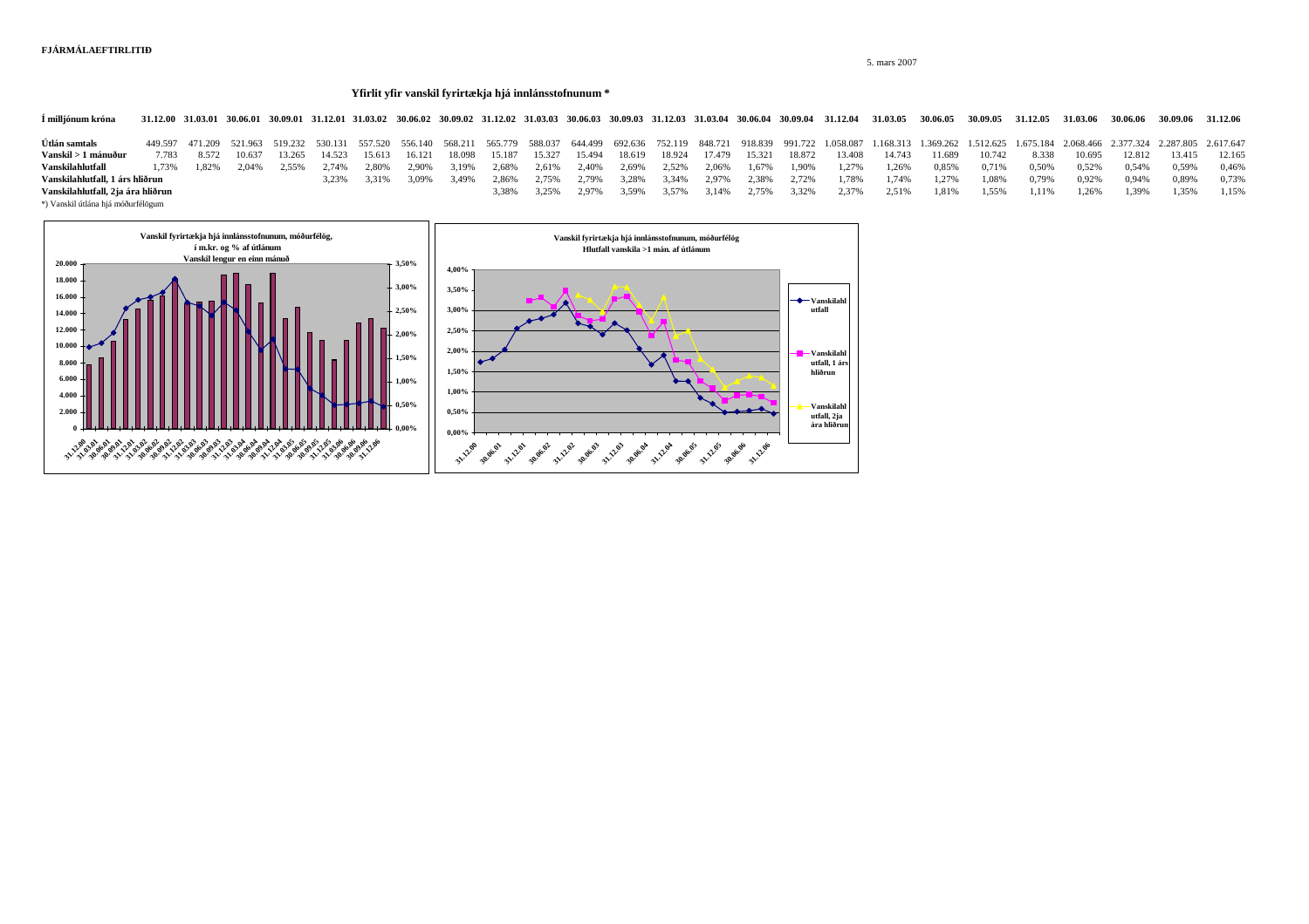5. mars 2007

#### **Yfirlit yfir vanskil fyrirtækja hjá innlánsstofnunum \***

1 milljónum króna 31.12.00 31.03.01 30.06.01 30.09.01 31.12.01 31.03.02 30.06.02 30.09.02 31.12.02 31.03.03 30.06.03 30.09.03 31.12.03 31.03.04 30.09.04 31.03.04 30.09.04 31.12.04 31.03.05 30.06.05 30.09.05 31.12.05 31.03.

**Útlán samtals** 449.597 471.209 521.963 519.232 530.131 557.520 556.140 568.211 565.779 588.037 644.499 692.636 752.119 848.721 918.839 991.722 1.058.087 1.168.313 1.369.262 1.512.625 1.675.184 2.068.466 2.377.324 2.287.805 2.617.647 **Vanskil > 1 mánuður** 7.783 8.572 10.637 13.265 14.523 15.613 16.121 18.098 15.187 15.327 15.494 18.619 18.924 17.479 15.321 18.872 13.408 14.743 11.689 10.742 8.338 10.695 12.812 13.415 12.165 **Vanskilahlutfall** 1,73% 1,82% 2,04% 2,55% 2,74% 2,80% 2,90% 3,19% 2,68% 2,61% 2,40% 2,69% 2,52% 2,06% 1,67% 1,90% 1,27% 1,26% 0,85% 0,71% 0,50% 0,52% 0,54% 0,59% 0,46% **Vanskilahlutfall, 1 árs hliðrun** 3,23% 3,31% 3,09% 3,49% 2,86% 2,75% 2,79% 3,28% 3,34% 2,97% 2,38% 2,72% 1,78% 1,74% 1,27% 1,08% 0,79% 0,92% 0,94% 0,89% 0,73% **Vanskilahlutfall, 2ja ára hliðrun** 3,38% 1,35% 3,38% 3,38% 3,38% 3,35% 3,59% 3,59% 3,14% 2,75% 2,37% 2,57% 2,57% 2,57% 2,57% 1,81% 1,55% 1,11% 1,26% 1,39% 1,55% 1,15%

\*) Vanskil útlána hjá móðurfélögum